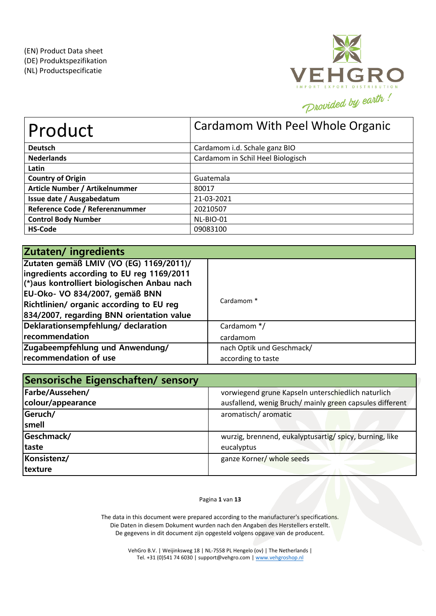

| Product                         | Cardamom With Peel Whole Organic  |
|---------------------------------|-----------------------------------|
| <b>Deutsch</b>                  | Cardamom i.d. Schale ganz BIO     |
| <b>Nederlands</b>               | Cardamom in Schil Heel Biologisch |
| Latin                           |                                   |
| <b>Country of Origin</b>        | Guatemala                         |
| Article Number / Artikelnummer  | 80017                             |
| Issue date / Ausgabedatum       | 21-03-2021                        |
| Reference Code / Referenznummer | 20210507                          |
| <b>Control Body Number</b>      | NL-BIO-01                         |
| <b>HS-Code</b>                  | 09083100                          |

| Zutaten/ingredients                         |                           |
|---------------------------------------------|---------------------------|
| Zutaten gemäß LMIV (VO (EG) 1169/2011)/     |                           |
| ingredients according to EU reg 1169/2011   |                           |
| (*)aus kontrolliert biologischen Anbau nach |                           |
| EU-Oko- VO 834/2007, gemäß BNN              |                           |
| Richtlinien/ organic according to EU reg    | Cardamom <sup>*</sup>     |
| 834/2007, regarding BNN orientation value   |                           |
| Deklarationsempfehlung/ declaration         | Cardamom */               |
| recommendation                              | cardamom                  |
| Zugabeempfehlung und Anwendung/             | nach Optik und Geschmack/ |
| recommendation of use                       | according to taste        |

| Sensorische Eigenschaften/ sensory |                                                          |
|------------------------------------|----------------------------------------------------------|
| Farbe/Aussehen/                    | vorwiegend grune Kapseln unterschiedlich naturlich       |
| colour/appearance                  | ausfallend, wenig Bruch/ mainly green capsules different |
| Geruch/                            | aromatisch/ aromatic                                     |
| smell                              |                                                          |
| Geschmack/                         | wurzig, brennend, eukalyptusartig/ spicy, burning, like  |
| <b>Itaste</b>                      | eucalyptus                                               |
| Konsistenz/                        | ganze Korner/ whole seeds                                |
| texture                            |                                                          |

# Pagina **1** van **13**

The data in this document were prepared according to the manufacturer's specifications. Die Daten in diesem Dokument wurden nach den Angaben des Herstellers erstellt. De gegevens in dit document zijn opgesteld volgens opgave van de producent.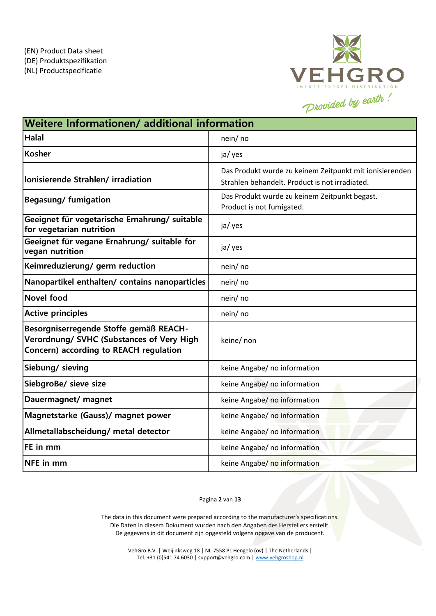

| Weitere Informationen/ additional information                                                                                 |                                                                                                           |  |  |  |
|-------------------------------------------------------------------------------------------------------------------------------|-----------------------------------------------------------------------------------------------------------|--|--|--|
| <b>Halal</b>                                                                                                                  | nein/ no                                                                                                  |  |  |  |
| <b>Kosher</b>                                                                                                                 | ja/ yes                                                                                                   |  |  |  |
| lonisierende Strahlen/irradiation                                                                                             | Das Produkt wurde zu keinem Zeitpunkt mit ionisierenden<br>Strahlen behandelt. Product is not irradiated. |  |  |  |
| <b>Begasung/fumigation</b>                                                                                                    | Das Produkt wurde zu keinem Zeitpunkt begast.<br>Product is not fumigated.                                |  |  |  |
| Geeignet für vegetarische Ernahrung/ suitable<br>for vegetarian nutrition                                                     | ja/ yes                                                                                                   |  |  |  |
| Geeignet für vegane Ernahrung/ suitable for<br>vegan nutrition                                                                | ja/ yes                                                                                                   |  |  |  |
| Keimreduzierung/ germ reduction                                                                                               | nein/no                                                                                                   |  |  |  |
| Nanopartikel enthalten/ contains nanoparticles                                                                                | nein/no                                                                                                   |  |  |  |
| <b>Novel food</b>                                                                                                             | nein/ no                                                                                                  |  |  |  |
| <b>Active principles</b>                                                                                                      | nein/no                                                                                                   |  |  |  |
| Besorgniserregende Stoffe gemäß REACH-<br>Verordnung/ SVHC (Substances of Very High<br>Concern) according to REACH regulation | keine/ non                                                                                                |  |  |  |
| Siebung/ sieving                                                                                                              | keine Angabe/ no information                                                                              |  |  |  |
| SiebgroBe/ sieve size                                                                                                         | keine Angabe/ no information                                                                              |  |  |  |
| Dauermagnet/ magnet                                                                                                           | keine Angabe/ no information                                                                              |  |  |  |
| Magnetstarke (Gauss)/ magnet power                                                                                            | keine Angabe/ no information                                                                              |  |  |  |
| Allmetallabscheidung/ metal detector                                                                                          | keine Angabe/ no information                                                                              |  |  |  |
| FE in mm                                                                                                                      | keine Angabe/ no information                                                                              |  |  |  |
| <b>NFE</b> in mm                                                                                                              | keine Angabe/ no information                                                                              |  |  |  |

### Pagina **2** van **13**

The data in this document were prepared according to the manufacturer's specifications. Die Daten in diesem Dokument wurden nach den Angaben des Herstellers erstellt. De gegevens in dit document zijn opgesteld volgens opgave van de producent.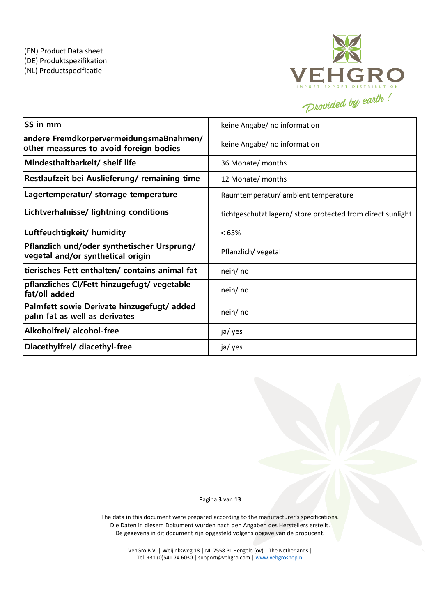

| <b>SS in mm</b>                                                                    | keine Angabe/ no information                                |
|------------------------------------------------------------------------------------|-------------------------------------------------------------|
| andere FremdkorpervermeidungsmaBnahmen/<br>other meassures to avoid foreign bodies | keine Angabe/ no information                                |
| Mindesthaltbarkeit/ shelf life                                                     | 36 Monate/ months                                           |
| Restlaufzeit bei Auslieferung/ remaining time                                      | 12 Monate/ months                                           |
| Lagertemperatur/ storrage temperature                                              | Raumtemperatur/ ambient temperature                         |
| Lichtverhalnisse/ lightning conditions                                             | tichtgeschutzt lagern/ store protected from direct sunlight |
| Luftfeuchtigkeit/ humidity                                                         | <65%                                                        |
| Pflanzlich und/oder synthetischer Ursprung/<br>vegetal and/or synthetical origin   | Pflanzlich/ vegetal                                         |
| tierisches Fett enthalten/ contains animal fat                                     | nein/ no                                                    |
| pflanzliches Cl/Fett hinzugefugt/ vegetable<br>fat/oil added                       | nein/ no                                                    |
| Palmfett sowie Derivate hinzugefugt/added<br>palm fat as well as derivates         | nein/ no                                                    |
| Alkoholfrei/ alcohol-free                                                          | ja/ yes                                                     |
| Diacethylfrei/ diacethyl-free                                                      | ja/ yes                                                     |

Pagina **3** van **13**

The data in this document were prepared according to the manufacturer's specifications. Die Daten in diesem Dokument wurden nach den Angaben des Herstellers erstellt. De gegevens in dit document zijn opgesteld volgens opgave van de producent.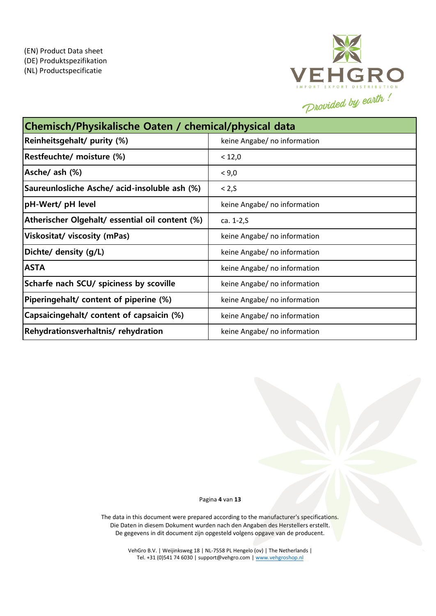

| Chemisch/Physikalische Oaten / chemical/physical data |                              |  |  |  |
|-------------------------------------------------------|------------------------------|--|--|--|
| Reinheitsgehalt/ purity (%)                           | keine Angabe/ no information |  |  |  |
| Restfeuchte/ moisture (%)                             | < 12,0                       |  |  |  |
| Asche/ ash (%)                                        | < 9,0                        |  |  |  |
| Saureunlosliche Asche/ acid-insoluble ash (%)         | < 2, S                       |  |  |  |
| pH-Wert/ pH level                                     | keine Angabe/ no information |  |  |  |
| Atherischer Olgehalt/ essential oil content (%)       | ca. 1-2, S                   |  |  |  |
| <b>Viskositat/ viscosity (mPas)</b>                   | keine Angabe/ no information |  |  |  |
| Dichte/ density (g/L)                                 | keine Angabe/ no information |  |  |  |
| <b>ASTA</b>                                           | keine Angabe/ no information |  |  |  |
| Scharfe nach SCU/ spiciness by scoville               | keine Angabe/ no information |  |  |  |
| Piperingehalt/ content of piperine (%)                | keine Angabe/ no information |  |  |  |
| Capsaicingehalt/ content of capsaicin (%)             | keine Angabe/ no information |  |  |  |
| Rehydrationsverhaltnis/rehydration                    | keine Angabe/ no information |  |  |  |

Pagina **4** van **13**

The data in this document were prepared according to the manufacturer's specifications. Die Daten in diesem Dokument wurden nach den Angaben des Herstellers erstellt. De gegevens in dit document zijn opgesteld volgens opgave van de producent.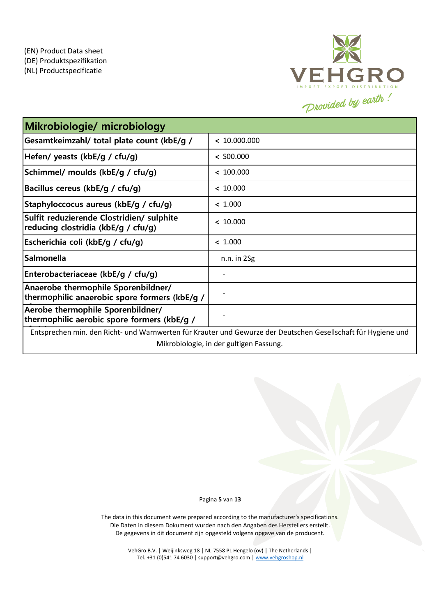

| Mikrobiologie/ microbiology                                                                                   |                 |  |  |  |
|---------------------------------------------------------------------------------------------------------------|-----------------|--|--|--|
| Gesamtkeimzahl/ total plate count (kbE/g /                                                                    | < 10.000.000    |  |  |  |
| Hefen/ yeasts (kbE/g / cfu/g)                                                                                 | $<$ S00.000     |  |  |  |
| Schimmel/ moulds (kbE/g / cfu/g)                                                                              | < 100.000       |  |  |  |
| Bacillus cereus (kbE/g / cfu/g)                                                                               | < 10.000        |  |  |  |
| Staphyloccocus aureus (kbE/g / cfu/g)                                                                         | < 1.000         |  |  |  |
| Sulfit reduzierende Clostridien/ sulphite<br>reducing clostridia (kbE/g / cfu/g)                              | < 10.000        |  |  |  |
| Escherichia coli (kbE/g / cfu/g)                                                                              | < 1.000         |  |  |  |
| <b>Salmonella</b>                                                                                             | $n.n.$ in $2Sg$ |  |  |  |
| Enterobacteriaceae (kbE/g / cfu/g)                                                                            |                 |  |  |  |
| Anaerobe thermophile Sporenbildner/<br>thermophilic anaerobic spore formers (kbE/g /                          |                 |  |  |  |
| Aerobe thermophile Sporenbildner/<br>thermophilic aerobic spore formers (kbE/g /                              |                 |  |  |  |
| Entsprechen min. den Richt- und Warnwerten für Krauter und Gewurze der Deutschen Gesellschaft für Hygiene und |                 |  |  |  |
| Mikrobiologie, in der gultigen Fassung.                                                                       |                 |  |  |  |

#### Pagina **5** van **13**

The data in this document were prepared according to the manufacturer's specifications. Die Daten in diesem Dokument wurden nach den Angaben des Herstellers erstellt. De gegevens in dit document zijn opgesteld volgens opgave van de producent.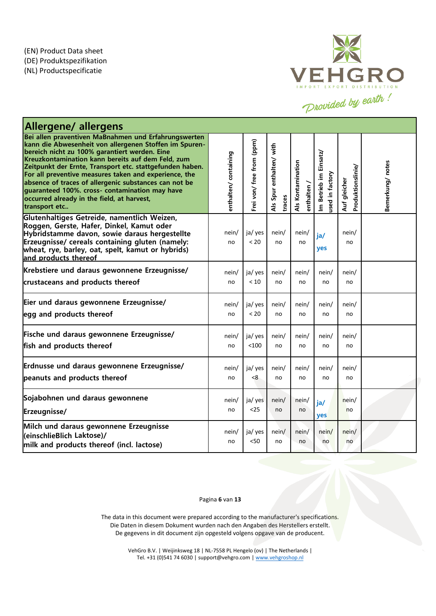

| <b>Allergene/ allergens</b>                                                                                                                                                                                                                                                                                                                                                                                                                                                                                         |                      |                           |                                    |                                  |                                                                |                                   |                 |
|---------------------------------------------------------------------------------------------------------------------------------------------------------------------------------------------------------------------------------------------------------------------------------------------------------------------------------------------------------------------------------------------------------------------------------------------------------------------------------------------------------------------|----------------------|---------------------------|------------------------------------|----------------------------------|----------------------------------------------------------------|-----------------------------------|-----------------|
| Bei allen praventiven MaBnahmen und Erfahrungswerten<br>kann die Abwesenheit von allergenen Stoffen im Spuren-<br>bereich nicht zu 100% garantiert werden. Eine<br>Kreuzkontamination kann bereits auf dem Feld, zum<br>Zeitpunkt der Ernte, Transport etc. stattgefunden haben.<br>For all preventive measures taken and experience, the<br>absence of traces of allergenic substances can not be<br>guaranteed 100%. cross- contamination may have<br>occurred already in the field, at harvest,<br>transport etc | enthalten/containing | Frei von/ free from (ppm) | Als Spur enthalten/ with<br>traces | Als Kontamination<br>enthalten / | Betrieb im Einsatz/<br>used in factory<br>$\tilde{\mathbf{z}}$ | Produktionslinie/<br>Auf gleicher | Bemerkung/notes |
| Glutenhaltiges Getreide, namentlich Weizen,<br>Roggen, Gerste, Hafer, Dinkel, Kamut oder<br>Hybridstamme davon, sowie daraus hergestellte<br>Erzeugnisse/ cereals containing gluten (namely:<br>wheat, rye, barley, oat, spelt, kamut or hybrids)<br>and products thereof                                                                                                                                                                                                                                           | nein/<br>no          | ja/ yes<br>< 20           | nein/<br>no                        | nein/<br>no                      | ja/<br>yes                                                     | nein/<br>no                       |                 |
| Krebstiere und daraus gewonnene Erzeugnisse/                                                                                                                                                                                                                                                                                                                                                                                                                                                                        | nein/                | ja/ yes                   | nein/                              | nein/                            | nein/                                                          | nein/                             |                 |
| crustaceans and products thereof                                                                                                                                                                                                                                                                                                                                                                                                                                                                                    | no                   | < 10                      | no                                 | no                               | no                                                             | no                                |                 |
| Eier und daraus gewonnene Erzeugnisse/                                                                                                                                                                                                                                                                                                                                                                                                                                                                              | nein/                | ja/ yes                   | nein/                              | nein/                            | nein/                                                          | nein/                             |                 |
| legg and products thereof                                                                                                                                                                                                                                                                                                                                                                                                                                                                                           | no                   | < 20                      | no                                 | no                               | no                                                             | no                                |                 |
| Fische und daraus gewonnene Erzeugnisse/                                                                                                                                                                                                                                                                                                                                                                                                                                                                            | nein/                | ja/yes                    | nein/                              | nein/                            | nein/                                                          | nein/                             |                 |
| fish and products thereof                                                                                                                                                                                                                                                                                                                                                                                                                                                                                           | no                   | < 100                     | no                                 | no                               | no                                                             | no                                |                 |
| Erdnusse und daraus gewonnene Erzeugnisse/                                                                                                                                                                                                                                                                                                                                                                                                                                                                          | nein/                | ja/ yes                   | nein/                              | nein/                            | nein/                                                          | nein/                             |                 |
| peanuts and products thereof                                                                                                                                                                                                                                                                                                                                                                                                                                                                                        | no                   | < 8                       | no                                 | no                               | no                                                             | no                                |                 |
| Sojabohnen und daraus gewonnene                                                                                                                                                                                                                                                                                                                                                                                                                                                                                     | nein/                | ja/ yes                   | nein/                              | nein/                            | ja/                                                            | nein/                             |                 |
| Erzeugnisse/                                                                                                                                                                                                                                                                                                                                                                                                                                                                                                        | no                   | $25$                      | no                                 | no                               | yes                                                            | no                                |                 |
| Milch und daraus gewonnene Erzeugnisse<br>(einschlieBlich Laktose)/<br>milk and products thereof (incl. lactose)                                                                                                                                                                                                                                                                                                                                                                                                    | nein/<br>no          | ja/ yes<br>< 50           | nein/<br>no                        | nein/<br>no                      | nein/<br>no                                                    | nein/<br>no                       |                 |

#### Pagina **6** van **13**

The data in this document were prepared according to the manufacturer's specifications. Die Daten in diesem Dokument wurden nach den Angaben des Herstellers erstellt. De gegevens in dit document zijn opgesteld volgens opgave van de producent.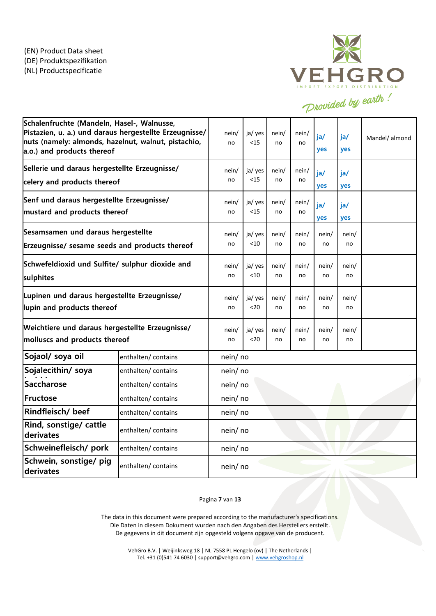

| Schalenfruchte (Mandeln, Hasel-, Walnusse,<br>Pistazien, u. a.) und daraus hergestellte Erzeugnisse/<br>nuts (namely: almonds, hazelnut, walnut, pistachio,<br>a.o.) and products thereof |                    | nein/<br>no | ja/ yes<br>$15$   | nein/<br>no | nein/<br>no | ja/<br>yes  | ia/<br>yes  | Mandel/ almond |
|-------------------------------------------------------------------------------------------------------------------------------------------------------------------------------------------|--------------------|-------------|-------------------|-------------|-------------|-------------|-------------|----------------|
| Sellerie und daraus hergestellte Erzeugnisse/<br>celery and products thereof                                                                                                              |                    | nein/<br>no | ja/ yes<br>$15$   | nein/<br>no | nein/<br>no | ja/<br>yes  | ja/<br>yes  |                |
| Senf und daraus hergestellte Erzeugnisse/<br>mustard and products thereof                                                                                                                 |                    | nein/<br>no | ja/ yes<br>$15$   | nein/<br>no | nein/<br>no | ja/<br>yes  | ia/<br>yes  |                |
| Sesamsamen und daraus hergestellte<br>Erzeugnisse/ sesame seeds and products thereof                                                                                                      |                    | nein/<br>no | ja/ yes<br>$<$ 10 | nein/<br>no | nein/<br>no | nein/<br>no | nein/<br>no |                |
| Schwefeldioxid und Sulfite/ sulphur dioxide and<br>sulphites                                                                                                                              |                    | nein/<br>no | ja/ yes<br>< 10   | nein/<br>no | nein/<br>no | nein/<br>no | nein/<br>no |                |
| Lupinen und daraus hergestellte Erzeugnisse/<br>lupin and products thereof                                                                                                                |                    | nein/<br>no | ja/ yes<br>$20$   | nein/<br>no | nein/<br>no | nein/<br>no | nein/<br>no |                |
| Weichtiere und daraus hergestellte Erzeugnisse/<br>molluscs and products thereof                                                                                                          |                    | nein/<br>no | ja/ yes<br>$20$   | nein/<br>no | nein/<br>no | nein/<br>no | nein/<br>no |                |
| Sojaol/ soya oil                                                                                                                                                                          | enthalten/contains | nein/no     |                   |             |             |             |             |                |
| Sojalecithin/ soya                                                                                                                                                                        | enthalten/contains | nein/no     |                   |             |             |             |             |                |
| <b>Saccharose</b>                                                                                                                                                                         | enthalten/contains | nein/no     |                   |             |             |             |             |                |
| Fructose                                                                                                                                                                                  | enthalten/contains | nein/no     |                   |             |             |             |             |                |
| Rindfleisch/ beef                                                                                                                                                                         | enthalten/contains |             | nein/no           |             |             |             |             |                |
| Rind, sonstige/ cattle<br>derivates                                                                                                                                                       | enthalten/contains | nein/no     |                   |             |             |             |             |                |
| Schweinefleisch/ pork<br>enthalten/ contains                                                                                                                                              |                    | nein/ no    |                   |             |             |             |             |                |
| Schwein, sonstige/ pig<br>derivates                                                                                                                                                       | enthalten/contains | nein/ no    |                   |             |             |             |             |                |

Pagina **7** van **13**

The data in this document were prepared according to the manufacturer's specifications. Die Daten in diesem Dokument wurden nach den Angaben des Herstellers erstellt. De gegevens in dit document zijn opgesteld volgens opgave van de producent.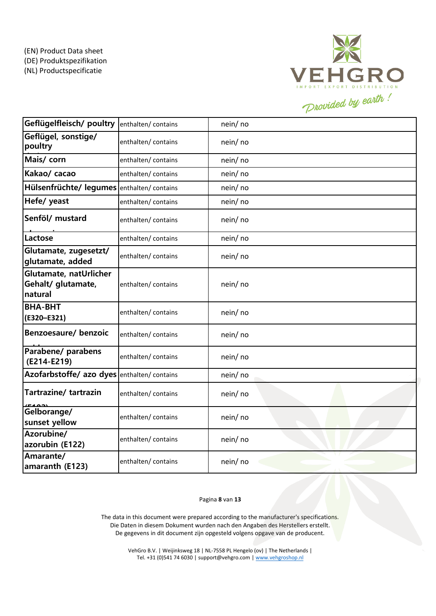

| Geflügelfleisch/ poultry                                | enthalten/ contains | nein/no  |
|---------------------------------------------------------|---------------------|----------|
| Geflügel, sonstige/<br>poultry                          | enthalten/ contains | nein/ no |
| Mais/ corn                                              | enthalten/contains  | nein/no  |
| Kakao/ cacao                                            | enthalten/contains  | nein/no  |
| Hülsenfrüchte/ legumes enthalten/ contains              |                     | nein/ no |
| Hefe/ yeast                                             | enthalten/contains  | nein/ no |
| Senföl/mustard                                          | enthalten/contains  | nein/ no |
| Lactose                                                 | enthalten/contains  | nein/no  |
| Glutamate, zugesetzt/<br>glutamate, added               | enthalten/contains  | nein/no  |
| Glutamate, natUrlicher<br>Gehalt/ glutamate,<br>natural | enthalten/contains  | nein/ no |
| <b>BHA-BHT</b><br>(E320-E321)                           | enthalten/contains  | nein/no  |
| Benzoesaure/ benzoic                                    | enthalten/contains  | nein/ no |
| Parabene/ parabens<br>(E214-E219)                       | enthalten/contains  | nein/ no |
| Azofarbstoffe/ azo dyes enthalten/ contains             |                     | nein/no  |
| Tartrazine/ tartrazin                                   | enthalten/contains  | nein/no  |
| Gelborange/<br>sunset yellow                            | enthalten/ contains | nein/no  |
| Azorubine/<br>azorubin (E122)                           | enthalten/contains  | nein/no  |
| Amarante/<br>amaranth (E123)                            | enthalten/contains  | nein/no  |

### Pagina **8** van **13**

The data in this document were prepared according to the manufacturer's specifications. Die Daten in diesem Dokument wurden nach den Angaben des Herstellers erstellt. De gegevens in dit document zijn opgesteld volgens opgave van de producent.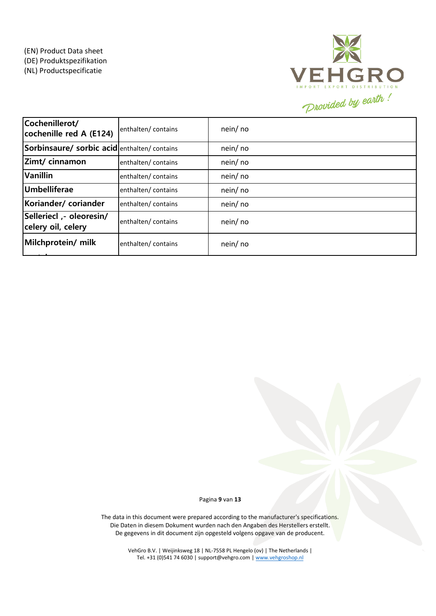

| Cochenillerot/<br>cochenille red A (E124)      | enthalten/contains  | nein/ no |
|------------------------------------------------|---------------------|----------|
| Sorbinsaure/ sorbic acidenthalten/ contains    |                     | nein/ no |
| Zimt/ cinnamon                                 | enthalten/ contains | nein/ no |
| <b>Vanillin</b>                                | enthalten/ contains | nein/ no |
| Umbelliferae                                   | enthalten/contains  | nein/ no |
| Koriander/coriander                            | enthalten/ contains | nein/ no |
| Selleriecl ,- oleoresin/<br>celery oil, celery | enthalten/contains  | nein/ no |
| Milchprotein/ milk                             | enthalten/contains  | nein/ no |

Pagina **9** van **13**

The data in this document were prepared according to the manufacturer's specifications. Die Daten in diesem Dokument wurden nach den Angaben des Herstellers erstellt. De gegevens in dit document zijn opgesteld volgens opgave van de producent.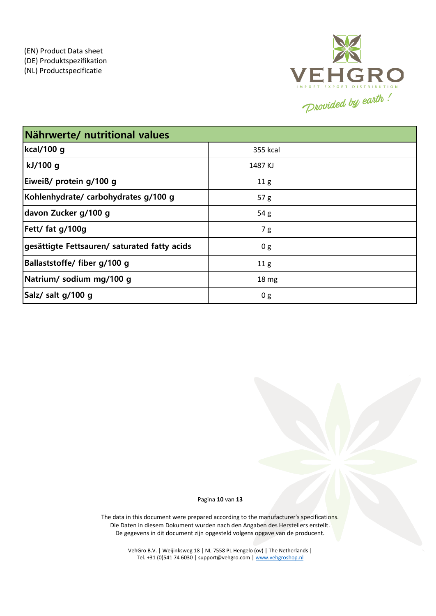

| Nährwerte/ nutritional values                |                  |  |  |  |
|----------------------------------------------|------------------|--|--|--|
| kcal/100 g                                   | 355 kcal         |  |  |  |
| kJ/100 g                                     | 1487 KJ          |  |  |  |
| Eiweiß/ protein g/100 g                      | 11 <sub>g</sub>  |  |  |  |
| Kohlenhydrate/ carbohydrates g/100 g         | 57 <sub>g</sub>  |  |  |  |
| davon Zucker g/100 g                         | 54g              |  |  |  |
| Fett/ fat g/100g                             | 7g               |  |  |  |
| gesättigte Fettsauren/ saturated fatty acids | 0 g              |  |  |  |
| Ballaststoffe/ fiber g/100 g                 | 11 <sub>g</sub>  |  |  |  |
| Natrium/ sodium mg/100 g                     | 18 <sub>mg</sub> |  |  |  |
| Salz/ salt g/100 g                           | 0 <sub>g</sub>   |  |  |  |

Pagina **10** van **13**

The data in this document were prepared according to the manufacturer's specifications. Die Daten in diesem Dokument wurden nach den Angaben des Herstellers erstellt. De gegevens in dit document zijn opgesteld volgens opgave van de producent.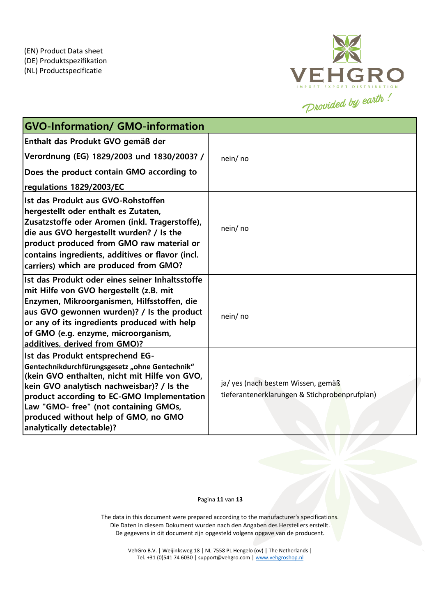

| <b>GVO-Information/ GMO-information</b>                                                                                                                                                                                                                                                                                                       |                                                                                     |
|-----------------------------------------------------------------------------------------------------------------------------------------------------------------------------------------------------------------------------------------------------------------------------------------------------------------------------------------------|-------------------------------------------------------------------------------------|
| Enthalt das Produkt GVO gemäß der                                                                                                                                                                                                                                                                                                             |                                                                                     |
| Verordnung (EG) 1829/2003 und 1830/2003? /                                                                                                                                                                                                                                                                                                    | nein/ no                                                                            |
| Does the product contain GMO according to                                                                                                                                                                                                                                                                                                     |                                                                                     |
| regulations 1829/2003/EC                                                                                                                                                                                                                                                                                                                      |                                                                                     |
| Ist das Produkt aus GVO-Rohstoffen<br>hergestellt oder enthalt es Zutaten,<br>Zusatzstoffe oder Aromen (inkl. Tragerstoffe),<br>die aus GVO hergestellt wurden? / Is the<br>product produced from GMO raw material or<br>contains ingredients, additives or flavor (incl.<br>carriers) which are produced from GMO?                           | nein/ no                                                                            |
| Ist das Produkt oder eines seiner Inhaltsstoffe<br>mit Hilfe von GVO hergestellt (z.B. mit<br>Enzymen, Mikroorganismen, Hilfsstoffen, die<br>aus GVO gewonnen wurden)? / Is the product<br>or any of its ingredients produced with help<br>of GMO (e.g. enzyme, microorganism,<br>additives. derived from GMO)?                               | nein/ no                                                                            |
| Ist das Produkt entsprechend EG-<br>Gentechnikdurchfürungsgesetz "ohne Gentechnik"<br>(kein GVO enthalten, nicht mit Hilfe von GVO,<br>kein GVO analytisch nachweisbar)? / Is the<br>product according to EC-GMO Implementation<br>Law "GMO- free" (not containing GMOs,<br>produced without help of GMO, no GMO<br>analytically detectable)? | ja/ yes (nach bestem Wissen, gemäß<br>tieferantenerklarungen & Stichprobenprufplan) |

Pagina **11** van **13**

The data in this document were prepared according to the manufacturer's specifications. Die Daten in diesem Dokument wurden nach den Angaben des Herstellers erstellt. De gegevens in dit document zijn opgesteld volgens opgave van de producent.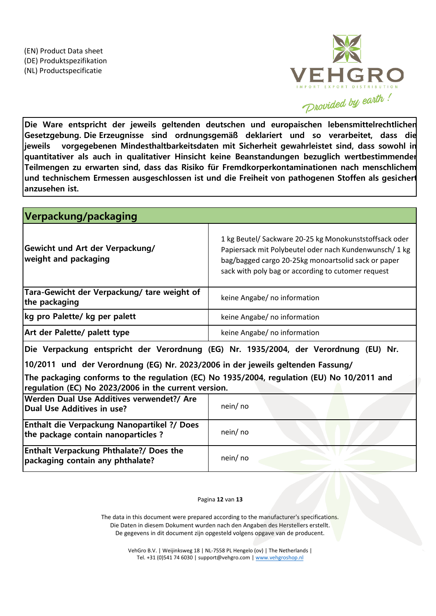

**Die Ware entspricht der jeweils geltenden deutschen und europaischen lebensmittelrechtlichen Gesetzgebung. Die Erzeugnisse sind ordnungsgemäß deklariert und so verarbeitet, dass die jeweils vorgegebenen Mindesthaltbarkeitsdaten mit Sicherheit gewahrleistet sind, dass sowohl in quantitativer als auch in qualitativer Hinsicht keine Beanstandungen bezuglich wertbestimmender Teilmengen zu erwarten sind, dass das Risiko für Fremdkorperkontaminationen nach menschlichem und technischem Ermessen ausgeschlossen ist und die Freiheit von pathogenen Stoffen als gesichert anzusehen ist.**

| Verpackung/packaging                                                                                                                               |                                                                                                                                                                                                                               |
|----------------------------------------------------------------------------------------------------------------------------------------------------|-------------------------------------------------------------------------------------------------------------------------------------------------------------------------------------------------------------------------------|
| Gewicht und Art der Verpackung/<br>weight and packaging                                                                                            | 1 kg Beutel/ Sackware 20-25 kg Monokunststoffsack oder<br>Papiersack mit Polybeutel oder nach Kundenwunsch/ 1 kg<br>bag/bagged cargo 20-25kg monoartsolid sack or paper<br>sack with poly bag or according to cutomer request |
| Tara-Gewicht der Verpackung/ tare weight of<br>the packaging                                                                                       | keine Angabe/ no information                                                                                                                                                                                                  |
| kg pro Palette/ kg per palett                                                                                                                      | keine Angabe/ no information                                                                                                                                                                                                  |
| Art der Palette/ palett type                                                                                                                       | keine Angabe/ no information                                                                                                                                                                                                  |
| Die Verpackung entspricht der Verordnung (EG) Nr. 1935/2004, der Verordnung (EU) Nr.                                                               |                                                                                                                                                                                                                               |
| 10/2011 und der Verordnung (EG) Nr. 2023/2006 in der jeweils geltenden Fassung/                                                                    |                                                                                                                                                                                                                               |
| The packaging conforms to the regulation (EC) No 1935/2004, regulation (EU) No 10/2011 and<br>regulation (EC) No 2023/2006 in the current version. |                                                                                                                                                                                                                               |
| Werden Dual Use Additives verwendet?/ Are<br>Dual Use Additives in use?                                                                            | nein/ no                                                                                                                                                                                                                      |
| <b>Enthalt die Verpackung Nanopartikel ?/ Does</b><br>the package contain nanoparticles?                                                           | nein/ no                                                                                                                                                                                                                      |
| <b>Enthalt Verpackung Phthalate?/ Does the</b><br>packaging contain any phthalate?                                                                 | nein/ no                                                                                                                                                                                                                      |

# Pagina **12** van **13**

The data in this document were prepared according to the manufacturer's specifications. Die Daten in diesem Dokument wurden nach den Angaben des Herstellers erstellt. De gegevens in dit document zijn opgesteld volgens opgave van de producent.